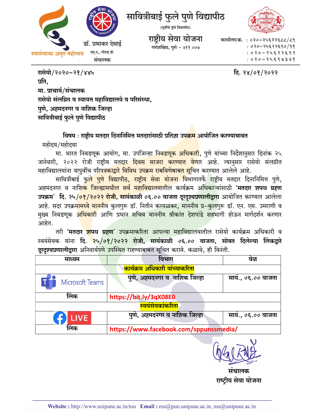



कार्यालय क्र. : ०२०-२५६२२६८८/८९ : ०२०-२५६२२६९०/९१  $: 020 - 2452253$  $020 - 24590388$ 

दि. २४/०१/२०२२

रासेयो/२०२०-२१/४४५ प्रति. मा. प्राचार्य/संचालक रासेयो संलग्नित व स्वायत्त महाविद्यालये व परिसंस्था, पुणे, अहमदनगर व नाशिक जिल्हा सावित्रीबाई फुले पुणे विद्यापीठ

विषय : राष्ट्रीय मतदार दिनानिमित्त मतदारांसाठी प्रतिज्ञा उ<mark>पक्रम</mark> आयोजित करण्याबाबत महोदय/महोदया

मा. भारत निवडणूक आयोग, मा. उपजिल्हा <mark>निवडणूक अधिकारी</mark>, पुणे यांच्या निर्देशानुसार दिनांक २५ जानेवारी, २०२२ रोजी राष्ट्रीय मतदार दिवस साजरा करण्यात येणार आहे. त्यानुसार रासेयो संलग्नीत महाविद्यालयांना यापूर्वीच प<mark>रिपत्रकाद्वारे विविध उपक्रम राबविणेबाबत सूचि</mark>त करण्यात आलेले आहे.

सावित्रीबाई <u>फुले पुणे विद्यापीठ, राष्ट्रीय सेवा योजना वि</u>भागातर्फे राष्ट्रीय मतदार दिनानिमित्त पुणे, अहमदनगर व नाशि<mark>क जिल्ह्यामधील सर्व महाविद्यालयातील</mark> कार्यक्रम अ<mark>धिकाऱ्</mark>यांसाठी '**मतदार शपथ ग्रहण** उपक्रम' दि. २५/<mark>०१/२०२२ रोजी, सायंकाळी ०६.०० वाजता दूरदृश्यप्रणालीद्वारा</mark> आयोजित करण्यात आलेला आहे. सदर उपक्रमामध्ये माननीय कुलगुरू डॉ. नितीन करमळकर, माननीय प्र–कुलगुरू डॉ. एन. एस. उमराणी व मुख्य निवडणुक <mark>अधिकारी</mark> आणि प्रधान सचिव माननीय श्रीकांत देशपांडे सहभागी होऊन मार्गदर्शन करणार आहेत.

तरी **'मतदार <mark>शप</mark>थ ग्रहण'** उपक्रमाकरिता आपल्या महाविद्यालयातील रासेयो कार्यक्रम अधिकारी व स्वयंसेवक यांना दि. २५/०१/२०२२ रोजी, सायंकाळी ०६.०० वाजता, सोबत दिलेल्या लिंकद्रारे दूरदृश्यप्रणालीद्रारा अनिवार्य<mark>पणे उपस्थित राहण्याबाब</mark>त सूचित करावे. कळावे, ही विनंती.

| माध्यम                                      | विभाग                                  | वळ                |
|---------------------------------------------|----------------------------------------|-------------------|
| <mark>कार्यक्रम अधिकारी यांच्याकरिता</mark> |                                        |                   |
| Microsoft Teams                             | पुणे, अहमदनगर व नाशिक जिल्हा           | साय., ०६.०० वाजता |
| लिंक                                        | https://bit.ly/3qX08E0                 |                   |
| स्वयंसेवकांकरिता                            |                                        |                   |
| <b>LIVE</b>                                 | पुणे, अहमदनगर व नाशिक जिल्हा           | साय., ०६.०० वाजता |
| लिंक                                        | https://www.facebook.com/sppunssmedia/ |                   |

संचालक राष्ट्रीय सेवा योजना